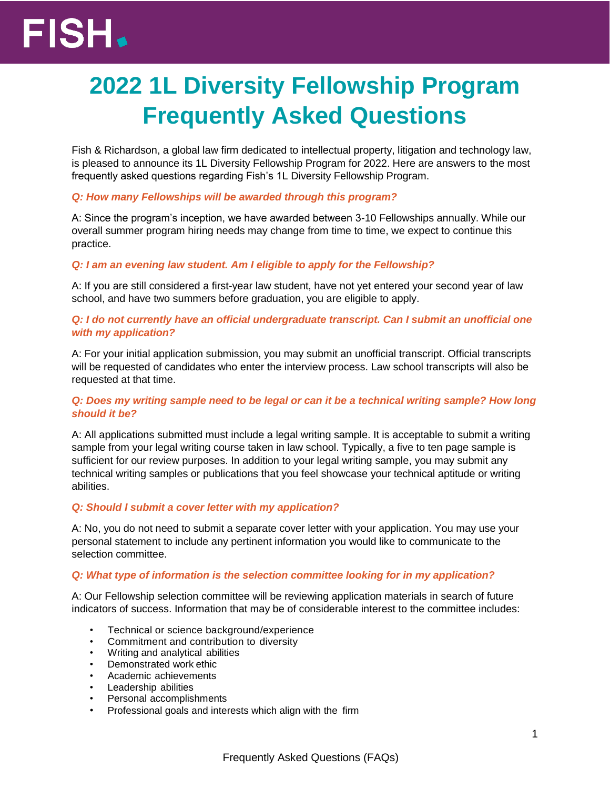# FISH.

# **2022 1L Diversity Fellowship Program Frequently Asked Questions**

Fish & Richardson, a global law firm dedicated to intellectual property, litigation and technology law, is pleased to announce its 1L Diversity Fellowship Program for 2022. Here are answers to the most frequently asked questions regarding Fish's 1L Diversity Fellowship Program.

# *Q: How many Fellowships will be awarded through this program?*

A: Since the program's inception, we have awarded between 3-10 Fellowships annually. While our overall summer program hiring needs may change from time to time, we expect to continue this practice.

# *Q: I am an evening law student. Am I eligible to apply for the Fellowship?*

A: If you are still considered a first-year law student, have not yet entered your second year of law school, and have two summers before graduation, you are eligible to apply.

# *Q: I do not currently have an official undergraduate transcript. Can I submit an unofficial one with my application?*

A: For your initial application submission, you may submit an unofficial transcript. Official transcripts will be requested of candidates who enter the interview process. Law school transcripts will also be requested at that time.

## *Q: Does my writing sample need to be legal or can it be a technical writing sample? How long should it be?*

A: All applications submitted must include a legal writing sample. It is acceptable to submit a writing sample from your legal writing course taken in law school. Typically, a five to ten page sample is sufficient for our review purposes. In addition to your legal writing sample, you may submit any technical writing samples or publications that you feel showcase your technical aptitude or writing abilities.

# *Q: Should I submit a cover letter with my application?*

A: No, you do not need to submit a separate cover letter with your application. You may use your personal statement to include any pertinent information you would like to communicate to the selection committee.

#### *Q: What type of information is the selection committee looking for in my application?*

A: Our Fellowship selection committee will be reviewing application materials in search of future indicators of success. Information that may be of considerable interest to the committee includes:

- Technical or science background/experience
- Commitment and contribution to diversity
- Writing and analytical abilities
- Demonstrated work ethic
- Academic achievements
- Leadership abilities
- Personal accomplishments
- Professional goals and interests which align with the firm